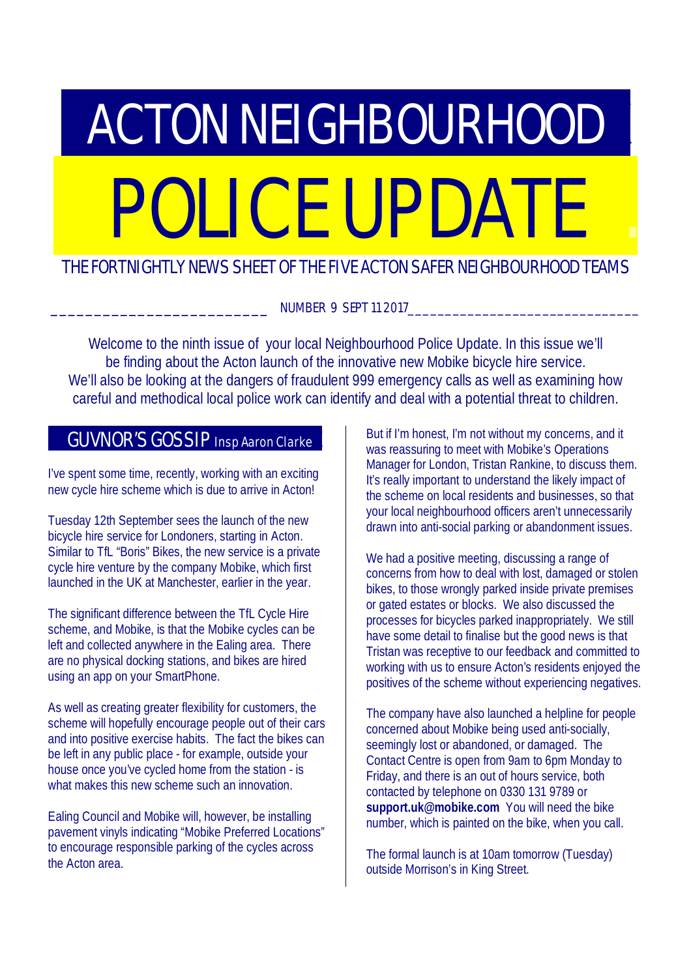# **ACTON NEIGHBOURHOOD** POLICE UPDATE

## THE FORTNIGHTLY NEWS SHEET OF THE FIVE ACTON SAFER NEIGHBOURHOOD TEAMS

NUMBER 9 SEPT 11 2017

Welcome to the ninth issue of your local Neighbourhood Police Update. In this issue we'll be finding about the Acton launch of the innovative new Mobike bicycle hire service. We'll also be looking at the dangers of fraudulent 999 emergency calls as well as examining how careful and methodical local police work can identify and deal with a potential threat to children.

# GUVNOR'S GOSSIP Insp Aaron Clarke

I've spent some time, recently, working with an exciting new cycle hire scheme which is due to arrive in Acton!

Tuesday 12th September sees the launch of the new bicycle hire service for Londoners, starting in Acton. Similar to TfL "Boris" Bikes, the new service is a private cycle hire venture by the company Mobike, which first launched in the UK at Manchester, earlier in the year.

The significant difference between the TfL Cycle Hire scheme, and Mobike, is that the Mobike cycles can be left and collected anywhere in the Ealing area. There are no physical docking stations, and bikes are hired using an app on your SmartPhone.

As well as creating greater flexibility for customers, the scheme will hopefully encourage people out of their cars and into positive exercise habits. The fact the bikes can be left in any public place - for example, outside your house once you've cycled home from the station - is what makes this new scheme such an innovation.

Ealing Council and Mobike will, however, be installing pavement vinyls indicating "Mobike Preferred Locations" to encourage responsible parking of the cycles across the Acton area.

But if I'm honest, I'm not without my concerns, and it was reassuring to meet with Mobike's Operations Manager for London, Tristan Rankine, to discuss them. It's really important to understand the likely impact of the scheme on local residents and businesses, so that your local neighbourhood officers aren't unnecessarily drawn into anti-social parking or abandonment issues.

We had a positive meeting, discussing a range of concerns from how to deal with lost, damaged or stolen bikes, to those wrongly parked inside private premises or gated estates or blocks. We also discussed the processes for bicycles parked inappropriately. We still have some detail to finalise but the good news is that Tristan was receptive to our feedback and committed to working with us to ensure Acton's residents enjoyed the positives of the scheme without experiencing negatives.

The company have also launched a helpline for people concerned about Mobike being used anti-socially, seemingly lost or abandoned, or damaged. The Contact Centre is open from 9am to 6pm Monday to Friday, and there is an out of hours service, both contacted by telephone on 0330 131 9789 or **support.uk@mobike.com** You will need the bike number, which is painted on the bike, when you call.

The formal launch is at 10am tomorrow (Tuesday) outside Morrison's in King Street.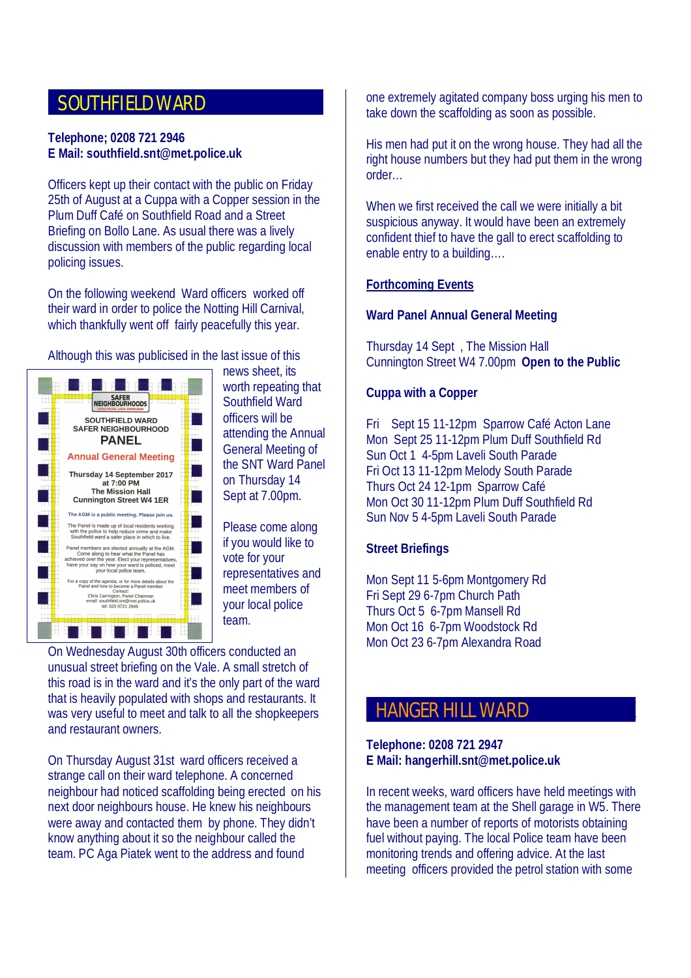## SOUTHFIELD WARD

#### **Telephone; 0208 721 2946 E Mail: southfield.snt@met.police.uk**

Officers kept up their contact with the public on Friday 25th of August at a Cuppa with a Copper session in the Plum Duff Café on Southfield Road and a Street Briefing on Bollo Lane. As usual there was a lively discussion with members of the public regarding local policing issues.

On the following weekend Ward officers worked off their ward in order to police the Notting Hill Carnival, which thankfully went off fairly peacefully this year.

Although this was publicised in the last issue of this



news sheet, its worth repeating that Southfield Ward officers will be attending the Annual General Meeting of the SNT Ward Panel on Thursday 14 Sept at 7.00pm.

Please come along if you would like to vote for your representatives and meet members of your local police team

On Wednesday August 30th officers conducted an unusual street briefing on the Vale. A small stretch of this road is in the ward and it's the only part of the ward that is heavily populated with shops and restaurants. It was very useful to meet and talk to all the shopkeepers and restaurant owners.

On Thursday August 31st ward officers received a strange call on their ward telephone. A concerned neighbour had noticed scaffolding being erected on his next door neighbours house. He knew his neighbours were away and contacted them by phone. They didn't know anything about it so the neighbour called the team. PC Aga Piatek went to the address and found

one extremely agitated company boss urging his men to take down the scaffolding as soon as possible.

His men had put it on the wrong house. They had all the right house numbers but they had put them in the wrong order…

When we first received the call we were initially a bit suspicious anyway. It would have been an extremely confident thief to have the gall to erect scaffolding to enable entry to a building….

#### **Forthcoming Events**

#### **Ward Panel Annual General Meeting**

Thursday 14 Sept , The Mission Hall Cunnington Street W4 7.00pm **Open to the Public**

#### **Cuppa with a Copper**

Fri Sept 15 11-12pm Sparrow Café Acton Lane Mon Sept 25 11-12pm Plum Duff Southfield Rd Sun Oct 1 4-5pm Laveli South Parade Fri Oct 13 11-12pm Melody South Parade Thurs Oct 24 12-1pm Sparrow Café Mon Oct 30 11-12pm Plum Duff Southfield Rd Sun Nov 5 4-5pm Laveli South Parade

#### **Street Briefings**

Mon Sept 11 5-6pm Montgomery Rd Fri Sept 29 6-7pm Church Path Thurs Oct 5 6-7pm Mansell Rd Mon Oct 16 6-7pm Woodstock Rd Mon Oct 23 6-7pm Alexandra Road

## **HANGER HILL WARD**

#### **Telephone: 0208 721 2947 E Mail: hangerhill.snt@met.police.uk**

In recent weeks, ward officers have held meetings with the management team at the Shell garage in W5. There have been a number of reports of motorists obtaining fuel without paying. The local Police team have been monitoring trends and offering advice. At the last meeting officers provided the petrol station with some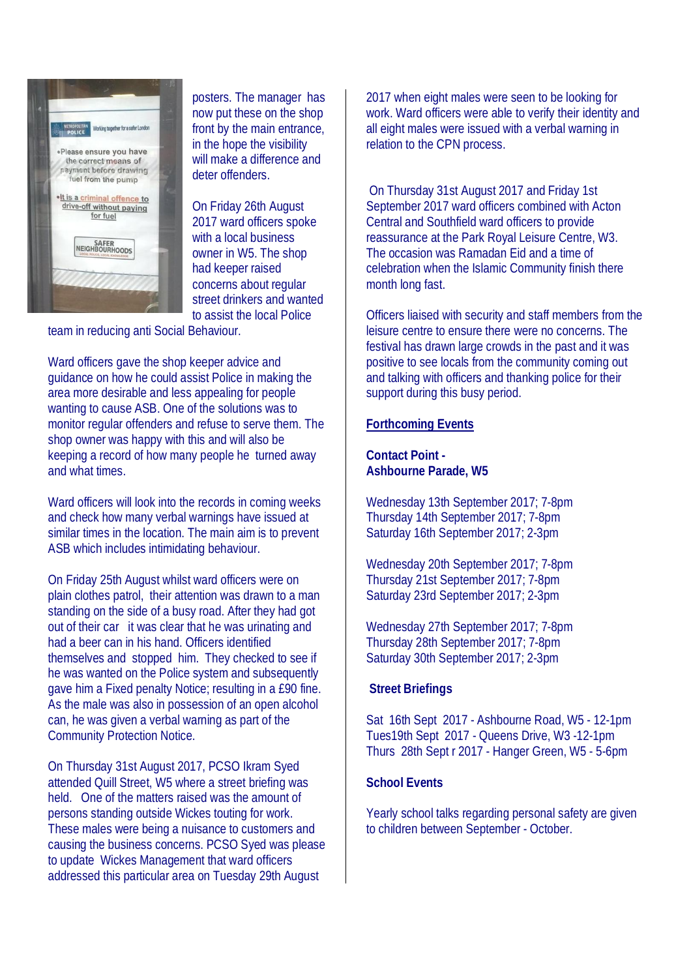

posters. The manager has now put these on the shop front by the main entrance, in the hope the visibility will make a difference and deter offenders.

On Friday 26th August 2017 ward officers spoke with a local business. owner in W5. The shop had keeper raised concerns about regular street drinkers and wanted to assist the local Police

team in reducing anti Social Behaviour.

Ward officers gave the shop keeper advice and guidance on how he could assist Police in making the area more desirable and less appealing for people wanting to cause ASB. One of the solutions was to monitor regular offenders and refuse to serve them. The shop owner was happy with this and will also be keeping a record of how many people he turned away and what times.

Ward officers will look into the records in coming weeks and check how many verbal warnings have issued at similar times in the location. The main aim is to prevent ASB which includes intimidating behaviour.

On Friday 25th August whilst ward officers were on plain clothes patrol, their attention was drawn to a man standing on the side of a busy road. After they had got out of their car it was clear that he was urinating and had a beer can in his hand. Officers identified themselves and stopped him. They checked to see if he was wanted on the Police system and subsequently gave him a Fixed penalty Notice; resulting in a £90 fine. As the male was also in possession of an open alcohol can, he was given a verbal warning as part of the Community Protection Notice.

On Thursday 31st August 2017, PCSO Ikram Syed attended Quill Street, W5 where a street briefing was held. One of the matters raised was the amount of persons standing outside Wickes touting for work. These males were being a nuisance to customers and causing the business concerns. PCSO Syed was please to update Wickes Management that ward officers addressed this particular area on Tuesday 29th August

2017 when eight males were seen to be looking for work. Ward officers were able to verify their identity and all eight males were issued with a verbal warning in relation to the CPN process.

 On Thursday 31st August 2017 and Friday 1st September 2017 ward officers combined with Acton Central and Southfield ward officers to provide reassurance at the Park Royal Leisure Centre, W3. The occasion was Ramadan Eid and a time of celebration when the Islamic Community finish there month long fast.

Officers liaised with security and staff members from the leisure centre to ensure there were no concerns. The festival has drawn large crowds in the past and it was positive to see locals from the community coming out and talking with officers and thanking police for their support during this busy period.

#### **Forthcoming Events**

**Contact Point - Ashbourne Parade, W5** 

Wednesday 13th September 2017; 7-8pm Thursday 14th September 2017; 7-8pm Saturday 16th September 2017; 2-3pm

Wednesday 20th September 2017; 7-8pm Thursday 21st September 2017; 7-8pm Saturday 23rd September 2017; 2-3pm

Wednesday 27th September 2017; 7-8pm Thursday 28th September 2017; 7-8pm Saturday 30th September 2017; 2-3pm

#### **Street Briefings**

Sat 16th Sept 2017 - Ashbourne Road, W5 - 12-1pm Tues19th Sept 2017 - Queens Drive, W3 -12-1pm Thurs 28th Sept r 2017 - Hanger Green, W5 - 5-6pm

#### **School Events**

Yearly school talks regarding personal safety are given to children between September - October.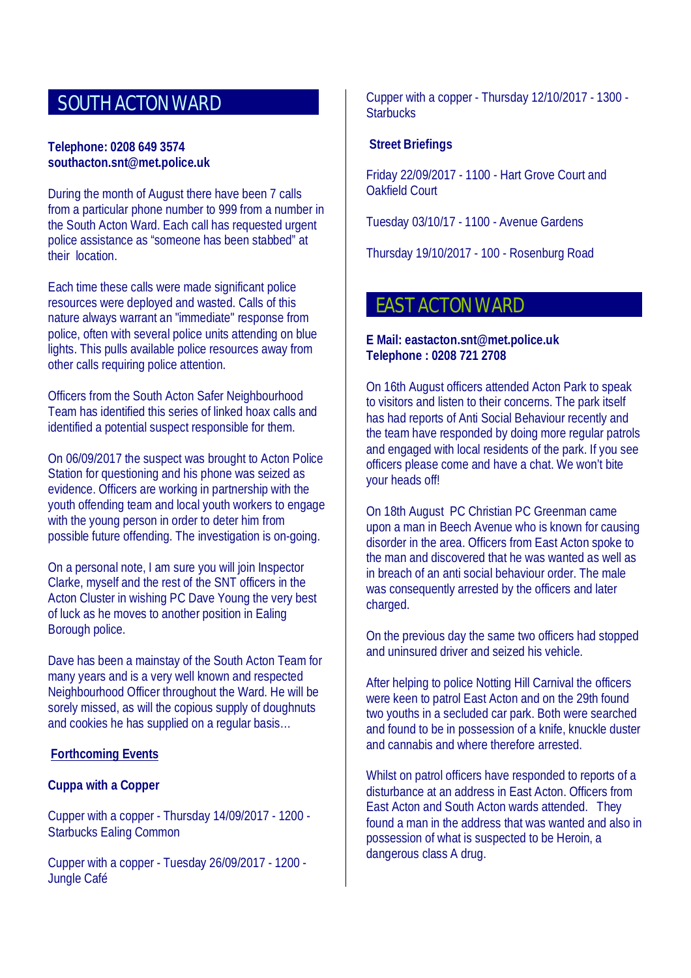# SOUTH ACTON WARD

#### **Telephone: 0208 649 3574 southacton.snt@met.police.uk**

During the month of August there have been 7 calls from a particular phone number to 999 from a number in the South Acton Ward. Each call has requested urgent police assistance as "someone has been stabbed" at their location.

Each time these calls were made significant police resources were deployed and wasted. Calls of this nature always warrant an "immediate" response from police, often with several police units attending on blue lights. This pulls available police resources away from other calls requiring police attention.

Officers from the South Acton Safer Neighbourhood Team has identified this series of linked hoax calls and identified a potential suspect responsible for them.

On 06/09/2017 the suspect was brought to Acton Police Station for questioning and his phone was seized as evidence. Officers are working in partnership with the youth offending team and local youth workers to engage with the young person in order to deter him from possible future offending. The investigation is on-going.

On a personal note, I am sure you will join Inspector Clarke, myself and the rest of the SNT officers in the Acton Cluster in wishing PC Dave Young the very best of luck as he moves to another position in Ealing Borough police.

Dave has been a mainstay of the South Acton Team for many years and is a very well known and respected Neighbourhood Officer throughout the Ward. He will be sorely missed, as will the copious supply of doughnuts and cookies he has supplied on a regular basis…

#### **Forthcoming Events**

#### **Cuppa with a Copper**

Cupper with a copper - Thursday 14/09/2017 - 1200 - Starbucks Ealing Common

Cupper with a copper - Tuesday 26/09/2017 - 1200 - Jungle Café

Cupper with a copper - Thursday 12/10/2017 - 1300 - **Starbucks** 

#### **Street Briefings**

Friday 22/09/2017 - 1100 - Hart Grove Court and Oakfield Court

Tuesday 03/10/17 - 1100 - Avenue Gardens

Thursday 19/10/2017 - 100 - Rosenburg Road

## **EAST ACTON WARD**

#### **E Mail: eastacton.snt@met.police.uk Telephone : 0208 721 2708**

On 16th August officers attended Acton Park to speak to visitors and listen to their concerns. The park itself has had reports of Anti Social Behaviour recently and the team have responded by doing more regular patrols and engaged with local residents of the park. If you see officers please come and have a chat. We won't bite your heads off!

On 18th August PC Christian PC Greenman came upon a man in Beech Avenue who is known for causing disorder in the area. Officers from East Acton spoke to the man and discovered that he was wanted as well as in breach of an anti social behaviour order. The male was consequently arrested by the officers and later charged.

On the previous day the same two officers had stopped and uninsured driver and seized his vehicle.

After helping to police Notting Hill Carnival the officers were keen to patrol East Acton and on the 29th found two youths in a secluded car park. Both were searched and found to be in possession of a knife, knuckle duster and cannabis and where therefore arrested.

Whilst on patrol officers have responded to reports of a disturbance at an address in East Acton. Officers from East Acton and South Acton wards attended. They found a man in the address that was wanted and also in possession of what is suspected to be Heroin, a dangerous class A drug.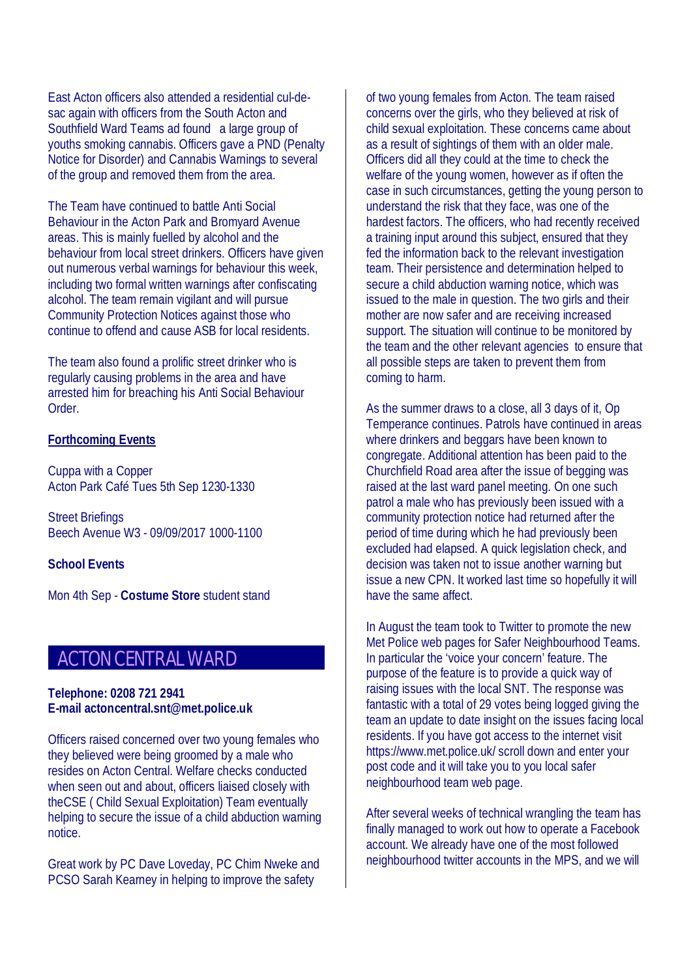East Acton officers also attended a residential cul-desac again with officers from the South Acton and Southfield Ward Teams ad found a large group of youths smoking cannabis. Officers gave a PND (Penalty Notice for Disorder) and Cannabis Warnings to several of the group and removed them from the area.

The Team have continued to battle Anti Social Behaviour in the Acton Park and Bromyard Avenue areas. This is mainly fuelled by alcohol and the behaviour from local street drinkers. Officers have given out numerous verbal warnings for behaviour this week, including two formal written warnings after confiscating alcohol. The team remain vigilant and will pursue Community Protection Notices against those who continue to offend and cause ASB for local residents.

The team also found a prolific street drinker who is regularly causing problems in the area and have arrested him for breaching his Anti Social Behaviour Order.

#### **Forthcoming Events**

Cuppa with a Copper Acton Park Café Tues 5th Sep 1230-1330

Street Briefings Beech Avenue W3 - 09/09/2017 1000-1100

**School Events**

Mon 4th Sep - **Costume Store** student stand

### **ACTON CENTRAL WARD**

#### **Telephone: 0208 721 2941 E-mail actoncentral.snt@met.police.uk**

Officers raised concerned over two young females who they believed were being groomed by a male who resides on Acton Central. Welfare checks conducted when seen out and about, officers liaised closely with theCSE ( Child Sexual Exploitation) Team eventually helping to secure the issue of a child abduction warning notice.

Great work by PC Dave Loveday, PC Chim Nweke and PCSO Sarah Kearney in helping to improve the safety

of two young females from Acton. The team raised concerns over the girls, who they believed at risk of child sexual exploitation. These concerns came about as a result of sightings of them with an older male. Officers did all they could at the time to check the welfare of the young women, however as if often the case in such circumstances, getting the young person to understand the risk that they face, was one of the hardest factors. The officers, who had recently received a training input around this subject, ensured that they fed the information back to the relevant investigation team. Their persistence and determination helped to secure a child abduction warning notice, which was issued to the male in question. The two girls and their mother are now safer and are receiving increased support. The situation will continue to be monitored by the team and the other relevant agencies to ensure that all possible steps are taken to prevent them from coming to harm.

As the summer draws to a close, all 3 days of it, Op Temperance continues. Patrols have continued in areas where drinkers and beggars have been known to congregate. Additional attention has been paid to the Churchfield Road area after the issue of begging was raised at the last ward panel meeting. On one such patrol a male who has previously been issued with a community protection notice had returned after the period of time during which he had previously been excluded had elapsed. A quick legislation check, and decision was taken not to issue another warning but issue a new CPN. It worked last time so hopefully it will have the same affect.

In August the team took to Twitter to promote the new Met Police web pages for Safer Neighbourhood Teams. In particular the 'voice your concern' feature. The purpose of the feature is to provide a quick way of raising issues with the local SNT. The response was fantastic with a total of 29 votes being logged giving the team an update to date insight on the issues facing local residents. If you have got access to the internet visit https://www.met.police.uk/ scroll down and enter your post code and it will take you to you local safer neighbourhood team web page.

After several weeks of technical wrangling the team has finally managed to work out how to operate a Facebook account. We already have one of the most followed neighbourhood twitter accounts in the MPS, and we will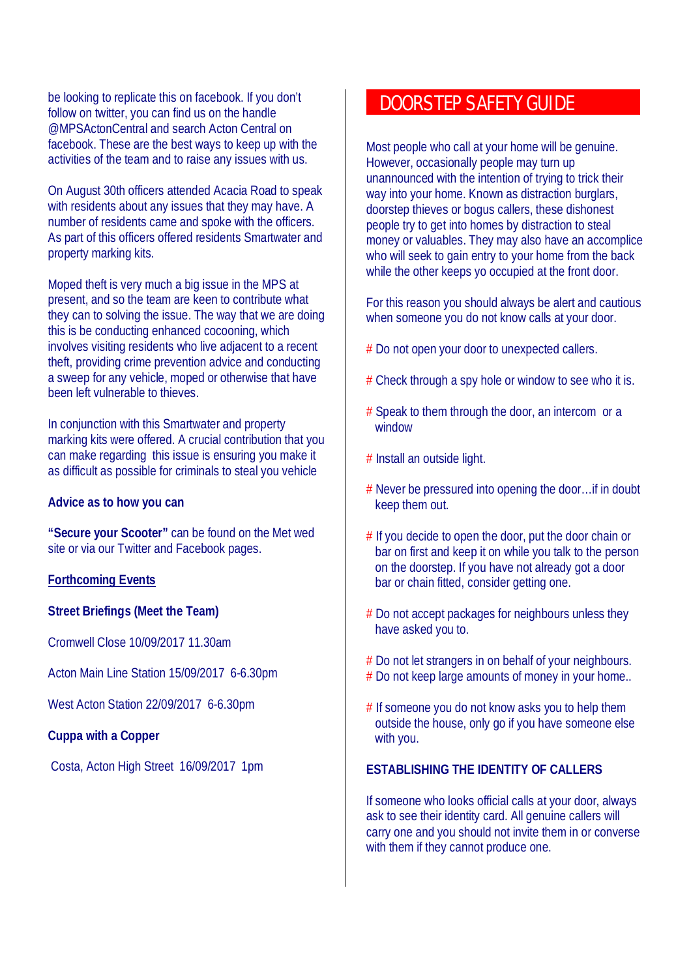be looking to replicate this on facebook. If you don't follow on twitter, you can find us on the handle @MPSActonCentral and search Acton Central on facebook. These are the best ways to keep up with the activities of the team and to raise any issues with us.

On August 30th officers attended Acacia Road to speak with residents about any issues that they may have. A number of residents came and spoke with the officers. As part of this officers offered residents Smartwater and property marking kits.

Moped theft is very much a big issue in the MPS at present, and so the team are keen to contribute what they can to solving the issue. The way that we are doing this is be conducting enhanced cocooning, which involves visiting residents who live adjacent to a recent theft, providing crime prevention advice and conducting a sweep for any vehicle, moped or otherwise that have been left vulnerable to thieves.

In conjunction with this Smartwater and property marking kits were offered. A crucial contribution that you can make regarding this issue is ensuring you make it as difficult as possible for criminals to steal you vehicle

#### **Advice as to how you can**

**"Secure your Scooter"** can be found on the Met wed site or via our Twitter and Facebook pages.

#### **Forthcoming Events**

#### **Street Briefings (Meet the Team)**

Cromwell Close 10/09/2017 11.30am

Acton Main Line Station 15/09/2017 6-6.30pm

West Acton Station 22/09/2017 6-6.30pm

#### **Cuppa with a Copper**

Costa, Acton High Street 16/09/2017 1pm

## DOORSTEP SAFETY GUIDE

Most people who call at your home will be genuine. However, occasionally people may turn up unannounced with the intention of trying to trick their way into your home. Known as distraction burglars, doorstep thieves or bogus callers, these dishonest people try to get into homes by distraction to steal money or valuables. They may also have an accomplice who will seek to gain entry to your home from the back while the other keeps yo occupied at the front door.

For this reason you should always be alert and cautious when someone you do not know calls at your door.

- # Do not open your door to unexpected callers.
- # Check through a spy hole or window to see who it is.
- # Speak to them through the door, an intercom or a window
- # Install an outside light.
- # Never be pressured into opening the door…if in doubt keep them out.
- # If you decide to open the door, put the door chain or bar on first and keep it on while you talk to the person on the doorstep. If you have not already got a door bar or chain fitted, consider getting one.
- # Do not accept packages for neighbours unless they have asked you to.
- # Do not let strangers in on behalf of your neighbours. # Do not keep large amounts of money in your home..
- # If someone you do not know asks you to help them outside the house, only go if you have someone else with you.

#### **ESTABLISHING THE IDENTITY OF CALLERS**

If someone who looks official calls at your door, always ask to see their identity card. All genuine callers will carry one and you should not invite them in or converse with them if they cannot produce one.